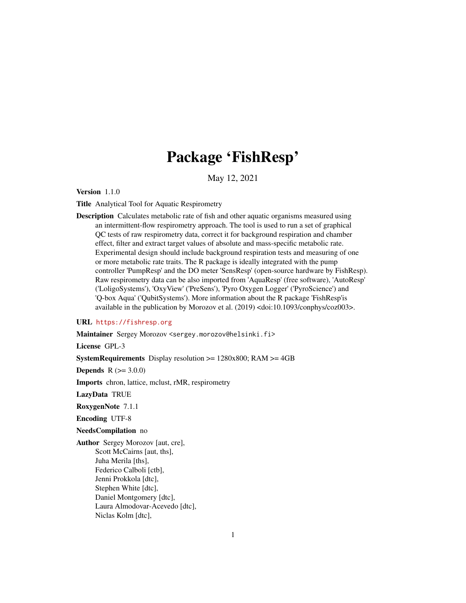# Package 'FishResp'

May 12, 2021

<span id="page-0-0"></span>Version 1.1.0

Title Analytical Tool for Aquatic Respirometry

Description Calculates metabolic rate of fish and other aquatic organisms measured using an intermittent-flow respirometry approach. The tool is used to run a set of graphical QC tests of raw respirometry data, correct it for background respiration and chamber effect, filter and extract target values of absolute and mass-specific metabolic rate. Experimental design should include background respiration tests and measuring of one or more metabolic rate traits. The R package is ideally integrated with the pump controller 'PumpResp' and the DO meter 'SensResp' (open-source hardware by FishResp). Raw respirometry data can be also imported from 'AquaResp' (free software), 'AutoResp' ('LoligoSystems'), 'OxyView' ('PreSens'), 'Pyro Oxygen Logger' ('PyroScience') and 'Q-box Aqua' ('QubitSystems'). More information about the R package 'FishResp'is available in the publication by Morozov et al. (2019) <doi:10.1093/conphys/coz003>.

# URL <https://fishresp.org>

Maintainer Sergey Morozov <sergey.morozov@helsinki.fi>

License GPL-3

**SystemRequirements** Display resolution  $>= 1280x800$ ; RAM  $>= 4GB$ 

**Depends**  $R (= 3.0.0)$ 

Imports chron, lattice, mclust, rMR, respirometry

LazyData TRUE

RoxygenNote 7.1.1

Encoding UTF-8

#### NeedsCompilation no

Author Sergey Morozov [aut, cre], Scott McCairns [aut, ths], Juha Merila [ths], Federico Calboli [ctb], Jenni Prokkola [dtc], Stephen White [dtc], Daniel Montgomery [dtc], Laura Almodovar-Acevedo [dtc], Niclas Kolm [dtc],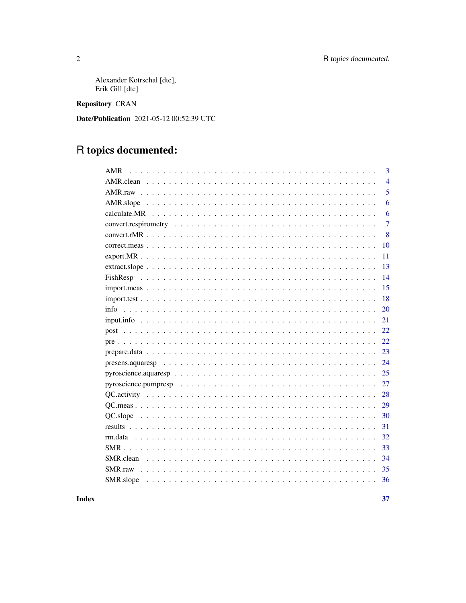Alexander Kotrschal [dtc], Erik Gill [dtc]

# Repository CRAN

Date/Publication 2021-05-12 00:52:39 UTC

# R topics documented:

| <b>AMR</b><br>3 |
|-----------------|
| $\overline{4}$  |
| 5               |
| 6               |
| 6               |
| $\overline{7}$  |
| 8               |
| 10              |
| 11              |
| 13              |
| 14              |
| 15              |
| 18              |
| 20<br>info      |
| 21              |
| 22              |
| 22              |
| 23              |
| 24              |
| 25              |
| 27              |
| 28              |
| 29              |
| 30              |
| 31              |
| 32              |
| 33              |
| 34<br>SMR.clean |
| 35              |
| SMR.slope<br>36 |
|                 |

**Index**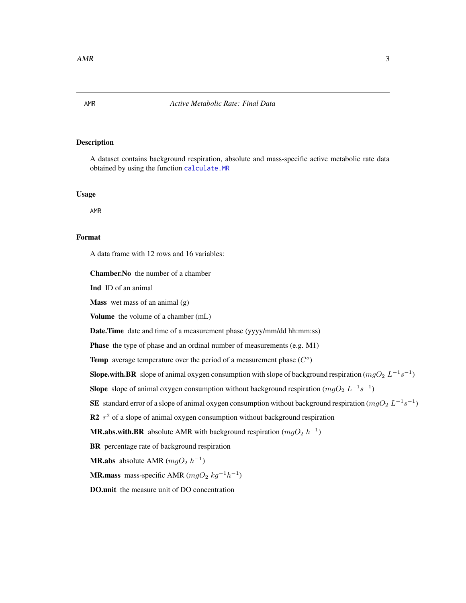<span id="page-2-0"></span>A dataset contains background respiration, absolute and mass-specific active metabolic rate data obtained by using the function [calculate.MR](#page-5-1)

#### Usage

AMR

# Format

A data frame with 12 rows and 16 variables:

Chamber.No the number of a chamber

Ind ID of an animal

**Mass** wet mass of an animal  $(g)$ 

Volume the volume of a chamber (mL)

Date.Time date and time of a measurement phase (yyyy/mm/dd hh:mm:ss)

Phase the type of phase and an ordinal number of measurements (e.g. M1)

Temp average temperature over the period of a measurement phase  $(C<sup>o</sup>)$ 

**Slope.with.BR** slope of animal oxygen consumption with slope of background respiration ( $mgO_2 L^{-1}s^{-1}$ )

**Slope** slope of animal oxygen consumption without background respiration  $(mgO_2 L^{-1}s^{-1})$ 

**SE** standard error of a slope of animal oxygen consumption without background respiration ( $mgO_2$   $L^{-1}s^{-1}$ )

R2  $r^2$  of a slope of animal oxygen consumption without background respiration

**MR.abs.with.BR** absolute AMR with background respiration  $(mgO_2 h^{-1})$ 

BR percentage rate of background respiration

**MR.abs** absolute AMR  $(mgO_2 h^{-1})$ 

**MR.mass** mass-specific AMR ( $mgO_2$  kg<sup>-1</sup>h<sup>-1</sup>)

DO.unit the measure unit of DO concentration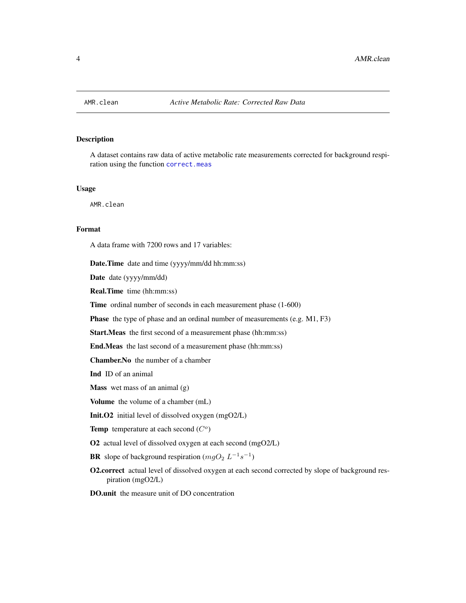<span id="page-3-0"></span>

A dataset contains raw data of active metabolic rate measurements corrected for background respiration using the function [correct.meas](#page-9-1)

#### Usage

AMR.clean

#### Format

A data frame with 7200 rows and 17 variables:

Date.Time date and time (yyyy/mm/dd hh:mm:ss)

Date date (yyyy/mm/dd)

Real.Time time (hh:mm:ss)

Time ordinal number of seconds in each measurement phase  $(1-600)$ 

Phase the type of phase and an ordinal number of measurements (e.g. M1, F3)

Start.Meas the first second of a measurement phase (hh:mm:ss)

End.Meas the last second of a measurement phase (hh:mm:ss)

Chamber.No the number of a chamber

Ind ID of an animal

Mass wet mass of an animal (g)

Volume the volume of a chamber (mL)

Init.O2 initial level of dissolved oxygen (mgO2/L)

Temp temperature at each second  $(C<sup>o</sup>)$ 

O2 actual level of dissolved oxygen at each second (mgO2/L)

**BR** slope of background respiration  $(mgO_2 L^{-1} s^{-1})$ 

O2.correct actual level of dissolved oxygen at each second corrected by slope of background respiration (mgO2/L)

DO.unit the measure unit of DO concentration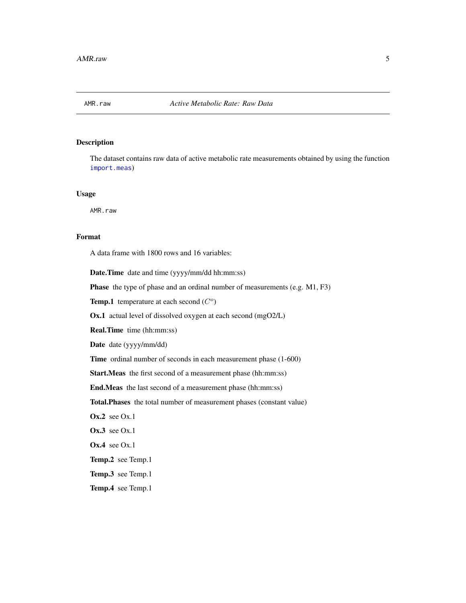<span id="page-4-0"></span>

The dataset contains raw data of active metabolic rate measurements obtained by using the function [import.meas](#page-14-1))

#### Usage

AMR.raw

### Format

A data frame with 1800 rows and 16 variables:

Date.Time date and time (yyyy/mm/dd hh:mm:ss)

Phase the type of phase and an ordinal number of measurements (e.g. M1, F3)

Temp.1 temperature at each second  $(C<sup>o</sup>)$ 

Ox.1 actual level of dissolved oxygen at each second (mgO2/L)

Real.Time time (hh:mm:ss)

Date date (yyyy/mm/dd)

Time ordinal number of seconds in each measurement phase (1-600)

Start.Meas the first second of a measurement phase (hh:mm:ss)

End.Meas the last second of a measurement phase (hh:mm:ss)

Total.Phases the total number of measurement phases (constant value)

 $Ox.2$  see  $Ox.1$ 

Ox.3 see Ox.1

Ox.4 see Ox.1

Temp.2 see Temp.1

Temp.3 see Temp.1

Temp.4 see Temp.1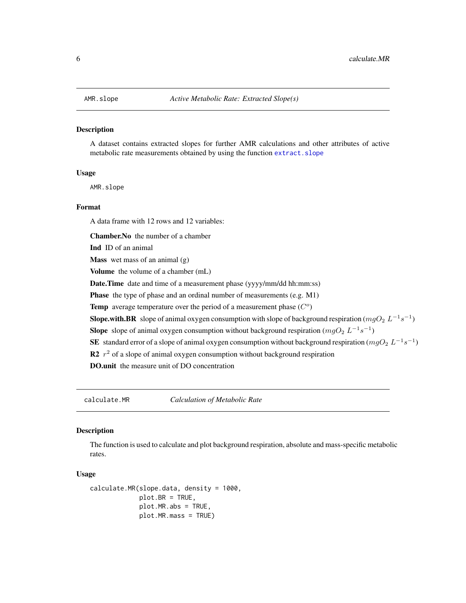<span id="page-5-0"></span>A dataset contains extracted slopes for further AMR calculations and other attributes of active metabolic rate measurements obtained by using the function [extract.slope](#page-12-1)

#### Usage

AMR.slope

#### Format

A data frame with 12 rows and 12 variables:

Chamber.No the number of a chamber

Ind ID of an animal

Mass wet mass of an animal (g)

Volume the volume of a chamber (mL)

Date.Time date and time of a measurement phase (yyyy/mm/dd hh:mm:ss)

Phase the type of phase and an ordinal number of measurements (e.g. M1)

Temp average temperature over the period of a measurement phase  $(C<sup>o</sup>)$ 

**Slope.with.BR** slope of animal oxygen consumption with slope of background respiration ( $mgO_2 L^{-1}s^{-1}$ )

**Slope** slope of animal oxygen consumption without background respiration  $(mgO_2 L^{-1}s^{-1})$ 

**SE** standard error of a slope of animal oxygen consumption without background respiration ( $mgO_2$   $L^{-1}s^{-1}$ )

R2  $r^2$  of a slope of animal oxygen consumption without background respiration

DO.unit the measure unit of DO concentration

<span id="page-5-1"></span>calculate.MR *Calculation of Metabolic Rate*

### Description

The function is used to calculate and plot background respiration, absolute and mass-specific metabolic rates.

#### Usage

```
calculate.MR(slope.data, density = 1000,
             plot.BR = TRUE,
             plot.MR.abs = TRUE,
             plot.MR.mass = TRUE)
```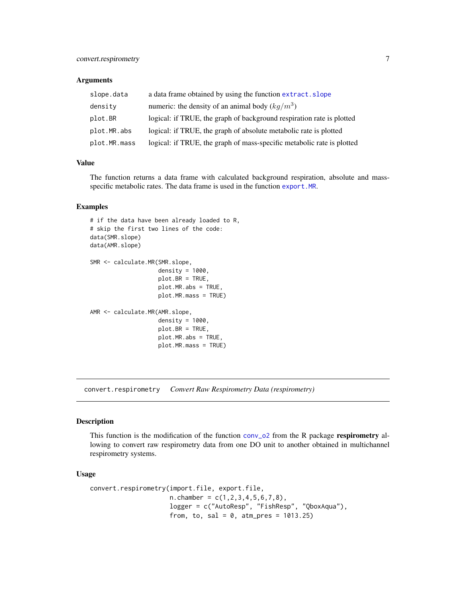# <span id="page-6-0"></span>Arguments

| slope.data   | a data frame obtained by using the function extract. slope             |
|--------------|------------------------------------------------------------------------|
| density      | numeric: the density of an animal body $(kq/m^3)$                      |
| plot.BR      | logical: if TRUE, the graph of background respiration rate is plotted  |
| plot.MR.abs  | logical: if TRUE, the graph of absolute metabolic rate is plotted      |
| plot.MR.mass | logical: if TRUE, the graph of mass-specific metabolic rate is plotted |

# Value

The function returns a data frame with calculated background respiration, absolute and massspecific metabolic rates. The data frame is used in the function [export.MR](#page-10-1).

#### Examples

```
# if the data have been already loaded to R,
# skip the first two lines of the code:
data(SMR.slope)
data(AMR.slope)
SMR <- calculate.MR(SMR.slope,
                    density = 1000,
                    plot.BR = TRUE,
                    plot.MR.abs = TRUE,
                    plot.MR.mass = TRUE)
AMR <- calculate.MR(AMR.slope,
                    density = 1000,
                    plot.BR = TRUE,
                    plot.MR.abs = TRUE,
                    plot.MR.mass = TRUE)
```
<span id="page-6-1"></span>convert.respirometry *Convert Raw Respirometry Data (respirometry)*

### Description

This function is the modification of the function conv<sub>-02</sub> from the R package respirometry allowing to convert raw respirometry data from one DO unit to another obtained in multichannel respirometry systems.

#### Usage

```
convert.respirometry(import.file, export.file,
                     n.chamber = c(1,2,3,4,5,6,7,8),
                     logger = c("AutoResp", "FishResp", "QboxAqua"),
                     from, to, sal = 0, atm_pres = 1013.25)
```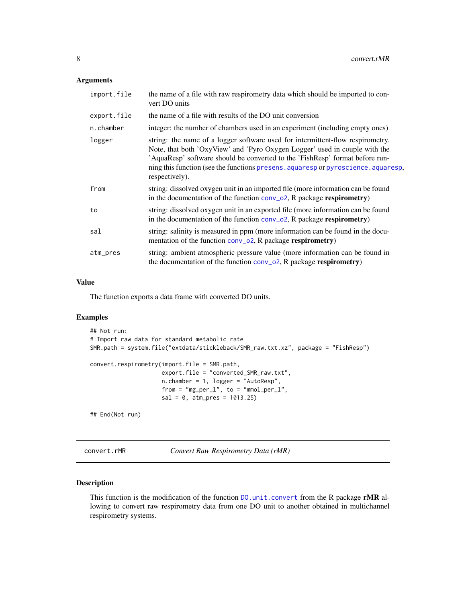# <span id="page-7-0"></span>Arguments

| import.file | the name of a file with raw respirometry data which should be imported to con-<br>vert DO units                                                                                                                                                                                                                                                     |
|-------------|-----------------------------------------------------------------------------------------------------------------------------------------------------------------------------------------------------------------------------------------------------------------------------------------------------------------------------------------------------|
| export.file | the name of a file with results of the DO unit conversion                                                                                                                                                                                                                                                                                           |
| n.chamber   | integer: the number of chambers used in an experiment (including empty ones)                                                                                                                                                                                                                                                                        |
| logger      | string: the name of a logger software used for intermittent-flow respirometry.<br>Note, that both 'OxyView' and 'Pyro Oxygen Logger' used in couple with the<br>'AquaResp' software should be converted to the 'FishResp' format before run-<br>ning this function (see the functions presens, aquaresp or pyroscience, aquaresp,<br>respectively). |
| from        | string: dissolved oxygen unit in an imported file (more information can be found<br>in the documentation of the function $conv_02$ , R package respirometry)                                                                                                                                                                                        |
| to          | string: dissolved oxygen unit in an exported file (more information can be found<br>in the documentation of the function conv_o2, R package respirometry)                                                                                                                                                                                           |
| sal         | string: salinity is measured in ppm (more information can be found in the docu-<br>mentation of the function conv_o2, R package respirometry)                                                                                                                                                                                                       |
| atm_pres    | string: ambient atmospheric pressure value (more information can be found in<br>the documentation of the function $conv_02$ , R package respirometry)                                                                                                                                                                                               |

# Value

The function exports a data frame with converted DO units.

# Examples

```
## Not run:
# Import raw data for standard metabolic rate
SMR.path = system.file("extdata/stickleback/SMR_raw.txt.xz", package = "FishResp")
convert.respirometry(import.file = SMR.path,
                     export.file = "converted_SMR_raw.txt",
                     n.chamber = 1, logger = "AutoResp",
                     from = "mg\_per\_l", to = "mmol\_per\_l",sal = 0, atm_pres = 1013.25## End(Not run)
```
<span id="page-7-1"></span>convert.rMR *Convert Raw Respirometry Data (rMR)*

# Description

This function is the modification of the function [DO.unit.convert](#page-0-0) from the R package rMR allowing to convert raw respirometry data from one DO unit to another obtained in multichannel respirometry systems.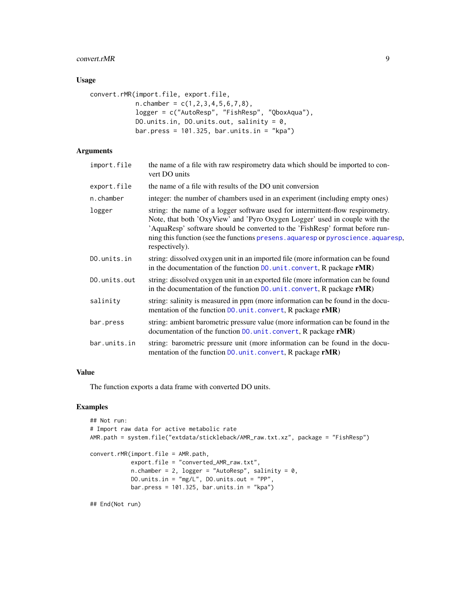#### <span id="page-8-0"></span> $\mu$  convert.rMR 9

# Usage

```
convert.rMR(import.file, export.file,
            n.chamber = c(1,2,3,4,5,6,7,8),
            logger = c("AutoResp", "FishResp", "QboxAqua"),
            DO.units.in, DO.units.out, salinity = 0,
            bar.press = 101.325, bar.units.in = "kpa")
```
# Arguments

| import.file  | the name of a file with raw respirometry data which should be imported to con-<br>vert DO units                                                                                                                                                                                                                                                     |
|--------------|-----------------------------------------------------------------------------------------------------------------------------------------------------------------------------------------------------------------------------------------------------------------------------------------------------------------------------------------------------|
| export.file  | the name of a file with results of the DO unit conversion                                                                                                                                                                                                                                                                                           |
| n.chamber    | integer: the number of chambers used in an experiment (including empty ones)                                                                                                                                                                                                                                                                        |
| logger       | string: the name of a logger software used for intermittent-flow respirometry.<br>Note, that both 'OxyView' and 'Pyro Oxygen Logger' used in couple with the<br>'AquaResp' software should be converted to the 'FishResp' format before run-<br>ning this function (see the functions presens. aquaresp or pyroscience. aquaresp,<br>respectively). |
| DO.units.in  | string: dissolved oxygen unit in an imported file (more information can be found<br>in the documentation of the function $D0$ . unit. convert, R package $rMR$ )                                                                                                                                                                                    |
| DO.units.out | string: dissolved oxygen unit in an exported file (more information can be found<br>in the documentation of the function DO.unit.convert, R package rMR)                                                                                                                                                                                            |
| salinity     | string: salinity is measured in ppm (more information can be found in the docu-<br>mentation of the function DO. unit. convert, R package rMR)                                                                                                                                                                                                      |
| bar.press    | string: ambient barometric pressure value (more information can be found in the<br>documentation of the function DO. unit. convert, R package rMR)                                                                                                                                                                                                  |
| bar.units.in | string: barometric pressure unit (more information can be found in the docu-<br>mentation of the function DO. unit. convert, R package rMR)                                                                                                                                                                                                         |

# Value

The function exports a data frame with converted DO units.

# Examples

```
## Not run:
# Import raw data for active metabolic rate
AMR.path = system.file("extdata/stickleback/AMR_raw.txt.xz", package = "FishResp")
convert.rMR(import.file = AMR.path,
            export.file = "converted_AMR_raw.txt",
            n.chamber = 2, logger = "AutoResp", salinity = 0,
            DO.units.in = "mg/L", DO.units.out = "PP",
            bar.press = 101.325, bar.units.in = "kpa")
```
## End(Not run)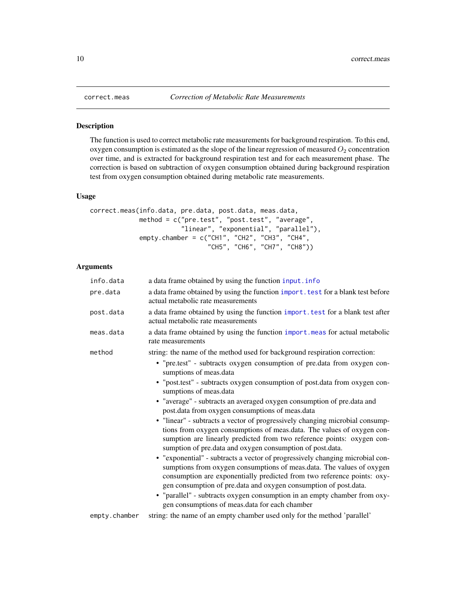The function is used to correct metabolic rate measurements for background respiration. To this end, oxygen consumption is estimated as the slope of the linear regression of measured  $O_2$  concentration over time, and is extracted for background respiration test and for each measurement phase. The correction is based on subtraction of oxygen consumption obtained during background respiration test from oxygen consumption obtained during metabolic rate measurements.

# Usage

```
correct.meas(info.data, pre.data, post.data, meas.data,
             method = c("pre.test", "post.test", "average",
                        "linear", "exponential", "parallel"),
             empty.chamber = c("CH1", "CH2", "CH3", "CH4",
                               "CH5", "CH6", "CH7", "CH8"))
```
### Arguments

| info.data     | a data frame obtained by using the function input.info                                                                                                                                                                                                                                                |
|---------------|-------------------------------------------------------------------------------------------------------------------------------------------------------------------------------------------------------------------------------------------------------------------------------------------------------|
| pre.data      | a data frame obtained by using the function import. test for a blank test before<br>actual metabolic rate measurements                                                                                                                                                                                |
| post.data     | a data frame obtained by using the function import. test for a blank test after<br>actual metabolic rate measurements                                                                                                                                                                                 |
| meas.data     | a data frame obtained by using the function import.meas for actual metabolic<br>rate measurements                                                                                                                                                                                                     |
| method        | string: the name of the method used for background respiration correction:                                                                                                                                                                                                                            |
|               | • "pre.test" - subtracts oxygen consumption of pre.data from oxygen con-<br>sumptions of meas.data                                                                                                                                                                                                    |
|               | · "post.test" - subtracts oxygen consumption of post.data from oxygen con-<br>sumptions of meas.data                                                                                                                                                                                                  |
|               | • "average" - subtracts an averaged oxygen consumption of pre.data and<br>post.data from oxygen consumptions of meas.data                                                                                                                                                                             |
|               | • "linear" - subtracts a vector of progressively changing microbial consump-<br>tions from oxygen consumptions of meas.data. The values of oxygen con-<br>sumption are linearly predicted from two reference points: oxygen con-<br>sumption of pre.data and oxygen consumption of post.data.         |
|               | • "exponential" - subtracts a vector of progressively changing microbial con-<br>sumptions from oxygen consumptions of meas.data. The values of oxygen<br>consumption are exponentially predicted from two reference points: oxy-<br>gen consumption of pre.data and oxygen consumption of post.data. |
|               | • "parallel" - subtracts oxygen consumption in an empty chamber from oxy-<br>gen consumptions of meas.data for each chamber                                                                                                                                                                           |
| empty.chamber | string: the name of an empty chamber used only for the method 'parallel'                                                                                                                                                                                                                              |
|               |                                                                                                                                                                                                                                                                                                       |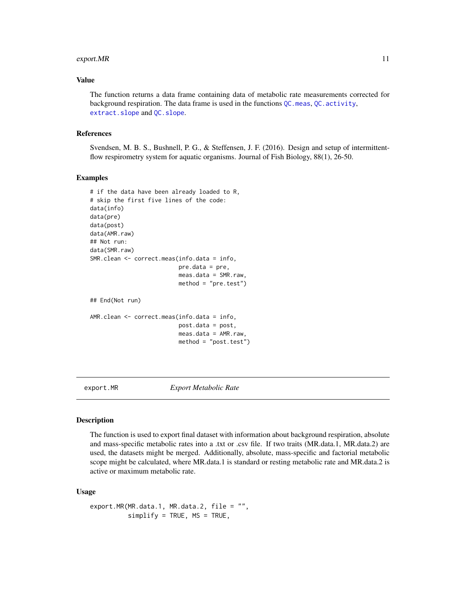#### <span id="page-10-0"></span> $\epsilon$  export. MR  $\qquad \qquad$  11

# Value

The function returns a data frame containing data of metabolic rate measurements corrected for background respiration. The data frame is used in the functions  $QC$ . meas,  $QC$ . activity, [extract.slope](#page-12-1) and [QC.slope](#page-29-1).

# References

Svendsen, M. B. S., Bushnell, P. G., & Steffensen, J. F. (2016). Design and setup of intermittentflow respirometry system for aquatic organisms. Journal of Fish Biology, 88(1), 26-50.

#### Examples

```
# if the data have been already loaded to R,
# skip the first five lines of the code:
data(info)
data(pre)
data(post)
data(AMR.raw)
## Not run:
data(SMR.raw)
SMR.clean <- correct.meas(info.data = info,
                          pre.data = pre,
                          meas.data = SMR.raw,
                          method = "pre.test")
## End(Not run)
AMR.clean <- correct.meas(info.data = info,
                          post.data = post,
                          meas.data = AMR.raw,
                          method = "post.test")
```
<span id="page-10-1"></span>

export.MR *Export Metabolic Rate*

#### Description

The function is used to export final dataset with information about background respiration, absolute and mass-specific metabolic rates into a .txt or .csv file. If two traits (MR.data.1, MR.data.2) are used, the datasets might be merged. Additionally, absolute, mass-specific and factorial metabolic scope might be calculated, where MR.data.1 is standard or resting metabolic rate and MR.data.2 is active or maximum metabolic rate.

#### Usage

```
export.MR(MR.data.1, MR.data.2, file = "",
          simplify = TRUE, MS = TRUE,
```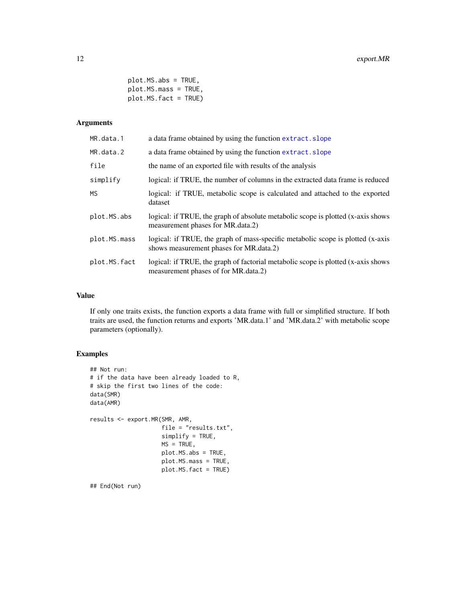```
plot.MS.abs = TRUE,
plot.MS.mass = TRUE,
plot.MS.fact = TRUE)
```
# Arguments

| MR.data.1    | a data frame obtained by using the function extract. slope                                                                 |
|--------------|----------------------------------------------------------------------------------------------------------------------------|
| MR.data.2    | a data frame obtained by using the function extract. slope                                                                 |
| file         | the name of an exported file with results of the analysis                                                                  |
| simplify     | logical: if TRUE, the number of columns in the extracted data frame is reduced                                             |
| МS           | logical: if TRUE, metabolic scope is calculated and attached to the exported<br>dataset                                    |
| plot.MS.abs  | logical: if TRUE, the graph of absolute metabolic scope is plotted (x-axis shows<br>measurement phases for MR.data.2)      |
| plot.MS.mass | logical: if TRUE, the graph of mass-specific metabolic scope is plotted (x-axis<br>shows measurement phases for MR.data.2) |
| plot.MS.fact | logical: if TRUE, the graph of factorial metabolic scope is plotted (x-axis shows<br>measurement phases of for MR.data.2)  |

# Value

If only one traits exists, the function exports a data frame with full or simplified structure. If both traits are used, the function returns and exports 'MR.data.1' and 'MR.data.2' with metabolic scope parameters (optionally).

# Examples

```
## Not run:
# if the data have been already loaded to R,
# skip the first two lines of the code:
data(SMR)
data(AMR)
results <- export.MR(SMR, AMR,
                     file = "results.txt",
                     simplify = TRUE,
                     MS = TRUE,plot.MS.abs = TRUE,
                     plot.MS.mass = TRUE,
                     plot.MS.fact = TRUE)
```
## End(Not run)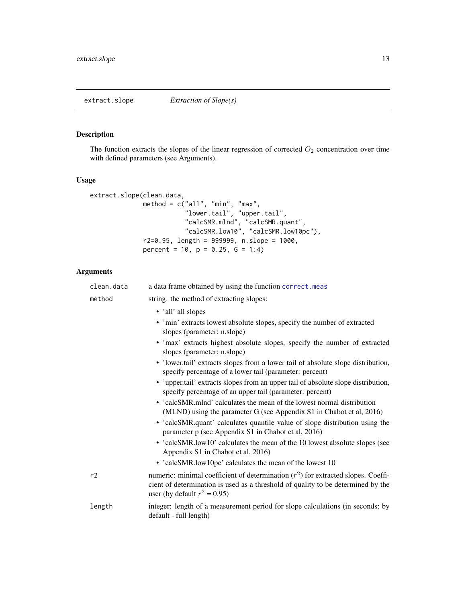<span id="page-12-1"></span><span id="page-12-0"></span>The function extracts the slopes of the linear regression of corrected  $O_2$  concentration over time with defined parameters (see Arguments).

# Usage

```
extract.slope(clean.data,
              method = c("all", "min", "max",
                          "lower.tail", "upper.tail",
                          "calcSMR.mlnd", "calcSMR.quant",
                          "calcSMR.low10", "calcSMR.low10pc"),
              r2=0.95, length = 999999, n.slope = 1000,
              percent = 10, p = 0.25, G = 1:4)
```
# Arguments

| clean.data | a data frame obtained by using the function correct.meas                                                                                                                                                   |
|------------|------------------------------------------------------------------------------------------------------------------------------------------------------------------------------------------------------------|
| method     | string: the method of extracting slopes:                                                                                                                                                                   |
|            | • 'all' all slopes                                                                                                                                                                                         |
|            | • 'min' extracts lowest absolute slopes, specify the number of extracted<br>slopes (parameter: n.slope)                                                                                                    |
|            | · 'max' extracts highest absolute slopes, specify the number of extracted<br>slopes (parameter: n.slope)                                                                                                   |
|            | • 'lower.tail' extracts slopes from a lower tail of absolute slope distribution,<br>specify percentage of a lower tail (parameter: percent)                                                                |
|            | • 'upper.tail' extracts slopes from an upper tail of absolute slope distribution,<br>specify percentage of an upper tail (parameter: percent)                                                              |
|            | • 'calcSMR.mlnd' calculates the mean of the lowest normal distribution<br>(MLND) using the parameter G (see Appendix S1 in Chabot et al, 2016)                                                             |
|            | • 'calcSMR.quant' calculates quantile value of slope distribution using the<br>parameter p (see Appendix S1 in Chabot et al, 2016)                                                                         |
|            | • 'calcSMR.low10' calculates the mean of the 10 lowest absolute slopes (see<br>Appendix S1 in Chabot et al, 2016)                                                                                          |
|            | • 'calcSMR.low10pc' calculates the mean of the lowest 10                                                                                                                                                   |
| r2         | numeric: minimal coefficient of determination $(r^2)$ for extracted slopes. Coeffi-<br>cient of determination is used as a threshold of quality to be determined by the<br>user (by default $r^2 = 0.95$ ) |
| length     | integer: length of a measurement period for slope calculations (in seconds; by<br>default - full length)                                                                                                   |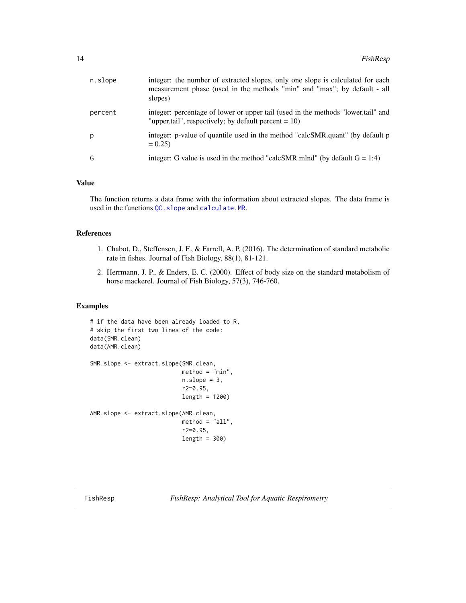<span id="page-13-0"></span>

| n.slope | integer: the number of extracted slopes, only one slope is calculated for each<br>measurement phase (used in the methods "min" and "max"; by default - all<br>slopes) |
|---------|-----------------------------------------------------------------------------------------------------------------------------------------------------------------------|
| percent | integer: percentage of lower or upper tail (used in the methods "lower.tail" and<br>"upperticall", respectively; by default percent = $10$ )                          |
| р       | integer: p-value of quantile used in the method "calcSMR.quant" (by default p<br>$= 0.25$                                                                             |
| G       | integer: G value is used in the method "calcSMR.mlnd" (by default $G = 1:4$ )                                                                                         |

#### Value

The function returns a data frame with the information about extracted slopes. The data frame is used in the functions [QC.slope](#page-29-1) and [calculate.MR](#page-5-1).

### References

- 1. Chabot, D., Steffensen, J. F., & Farrell, A. P. (2016). The determination of standard metabolic rate in fishes. Journal of Fish Biology, 88(1), 81-121.
- 2. Herrmann, J. P., & Enders, E. C. (2000). Effect of body size on the standard metabolism of horse mackerel. Journal of Fish Biology, 57(3), 746-760.

# Examples

```
# if the data have been already loaded to R,
# skip the first two lines of the code:
data(SMR.clean)
data(AMR.clean)
SMR.slope <- extract.slope(SMR.clean,
                           method = "min",n.slope = 3,r2=0.95,
                           length = 1200)
AMR.slope <- extract.slope(AMR.clean,
                           method = "all",r2=0.95,
                           length = 300)
```
FishResp *FishResp: Analytical Tool for Aquatic Respirometry*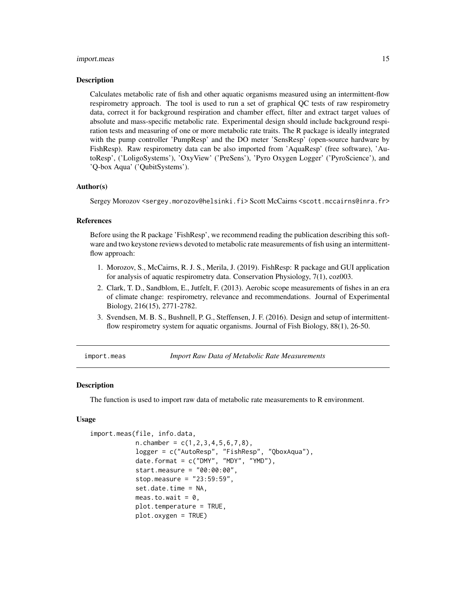#### <span id="page-14-0"></span>import.meas 15

#### Description

Calculates metabolic rate of fish and other aquatic organisms measured using an intermittent-flow respirometry approach. The tool is used to run a set of graphical QC tests of raw respirometry data, correct it for background respiration and chamber effect, filter and extract target values of absolute and mass-specific metabolic rate. Experimental design should include background respiration tests and measuring of one or more metabolic rate traits. The R package is ideally integrated with the pump controller 'PumpResp' and the DO meter 'SensResp' (open-source hardware by FishResp). Raw respirometry data can be also imported from 'AquaResp' (free software), 'AutoResp', ('LoligoSystems'), 'OxyView' ('PreSens'), 'Pyro Oxygen Logger' ('PyroScience'), and 'Q-box Aqua' ('QubitSystems').

#### Author(s)

Sergey Morozov <sergey.morozov@helsinki.fi> Scott McCairns <scott.mccairns@inra.fr>

#### References

Before using the R package 'FishResp', we recommend reading the publication describing this software and two keystone reviews devoted to metabolic rate measurements of fish using an intermittentflow approach:

- 1. Morozov, S., McCairns, R. J. S., Merila, J. (2019). FishResp: R package and GUI application for analysis of aquatic respirometry data. Conservation Physiology, 7(1), coz003.
- 2. Clark, T. D., Sandblom, E., Jutfelt, F. (2013). Aerobic scope measurements of fishes in an era of climate change: respirometry, relevance and recommendations. Journal of Experimental Biology, 216(15), 2771-2782.
- 3. Svendsen, M. B. S., Bushnell, P. G., Steffensen, J. F. (2016). Design and setup of intermittentflow respirometry system for aquatic organisms. Journal of Fish Biology, 88(1), 26-50.

<span id="page-14-1"></span>import.meas *Import Raw Data of Metabolic Rate Measurements*

#### **Description**

The function is used to import raw data of metabolic rate measurements to R environment.

#### Usage

```
import.meas(file, info.data,
            n.chamber = c(1,2,3,4,5,6,7,8),
            logger = c("AutoResp", "FishResp", "QboxAqua"),
            date.format = c("DMY", "MDY", "YMD"),
            start.measure = "00:00:00",
            stop.measure = "23:59:59",
            set.date.time = NA,
            meas.to.wait = 0,
            plot.temperature = TRUE,
            plot.oxygen = TRUE)
```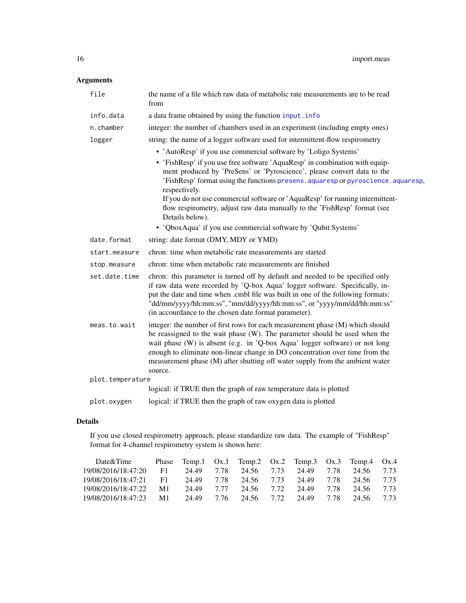# <span id="page-15-0"></span>Arguments

| file             | the name of a file which raw data of metabolic rate measurements are to be read<br>from                                                                                                                                                                                                                                                                                                                                                                                                                          |
|------------------|------------------------------------------------------------------------------------------------------------------------------------------------------------------------------------------------------------------------------------------------------------------------------------------------------------------------------------------------------------------------------------------------------------------------------------------------------------------------------------------------------------------|
| info.data        | a data frame obtained by using the function input.info                                                                                                                                                                                                                                                                                                                                                                                                                                                           |
| n.chamber        | integer: the number of chambers used in an experiment (including empty ones)                                                                                                                                                                                                                                                                                                                                                                                                                                     |
| logger           | string: the name of a logger software used for intermittent-flow respirometry                                                                                                                                                                                                                                                                                                                                                                                                                                    |
|                  | • 'AutoResp' if you use commercial software by 'Loligo Systems'<br>• 'FishResp' if you use free software 'AquaResp' in combination with equip-<br>ment produced by 'PreSens' or 'Pyroscience', please convert data to the<br>'FishResp' format using the functions presens. aquaresp or pyroscience. aquaresp,<br>respectively.<br>If you do not use commercial software or 'AquaResp' for running intermittent-<br>flow respirometry, adjust raw data manually to the 'FishResp' format (see<br>Details below). |
|                  | • 'QboxAqua' if you use commercial software by 'Qubit Systems'                                                                                                                                                                                                                                                                                                                                                                                                                                                   |
| date.format      | string: date format (DMY, MDY or YMD)                                                                                                                                                                                                                                                                                                                                                                                                                                                                            |
| start.measure    | chron: time when metabolic rate measurements are started                                                                                                                                                                                                                                                                                                                                                                                                                                                         |
| stop.measure     | chron: time when metabolic rate measurements are finished                                                                                                                                                                                                                                                                                                                                                                                                                                                        |
| set.date.time    | chron: this parameter is turned off by default and needed to be specified only<br>if raw data were recorded by 'Q-box Aqua' logger software. Specifically, in-<br>put the date and time when .cmbl file was built in one of the following formats:<br>"dd/mm/yyyy/hh:mm:ss", "mm/dd/yyyy/hh:mm:ss", or "yyyy/mm/dd/hh:mm:ss"<br>(in accourdance to the chosen date.format parameter).                                                                                                                            |
| meas.to.wait     | integer: the number of first rows for each measurement phase (M) which should<br>be reassigned to the wait phase (W). The parameter should be used when the<br>wait phase (W) is absent (e.g. in 'Q-box Aqua' logger software) or not long<br>enough to eliminate non-linear change in DO concentration over time from the<br>measurement phase (M) after shutting off water supply from the ambient water<br>source.                                                                                            |
| plot.temperature |                                                                                                                                                                                                                                                                                                                                                                                                                                                                                                                  |
|                  | logical: if TRUE then the graph of raw temperature data is plotted                                                                                                                                                                                                                                                                                                                                                                                                                                               |
| plot.oxygen      | logical: if TRUE then the graph of raw oxygen data is plotted                                                                                                                                                                                                                                                                                                                                                                                                                                                    |

# Details

If you use closed respirometry approach, please standardize raw data. The example of "FishResp" format for 4-channel respirometry system is shown here:

| Date&Time              |    |  | Phase Temp.1 $Ox.1$ Temp.2 $Ox.2$ Temp.3 $Ox.3$ Temp.4 $Ox.4$ |  |  |  |
|------------------------|----|--|---------------------------------------------------------------|--|--|--|
| 19/08/2016/18:47:20 F1 |    |  | 24.49 7.78 24.56 7.73 24.49 7.78 24.56 7.73                   |  |  |  |
| 19/08/2016/18:47:21 F1 |    |  | 24.49 7.78 24.56 7.73 24.49 7.78 24.56 7.73                   |  |  |  |
| 19/08/2016/18:47:22    | M1 |  | 24.49 7.77 24.56 7.72 24.49 7.78 24.56 7.73                   |  |  |  |
| 19/08/2016/18:47:23 M1 |    |  | 24.49 7.76 24.56 7.72 24.49 7.78 24.56 7.73                   |  |  |  |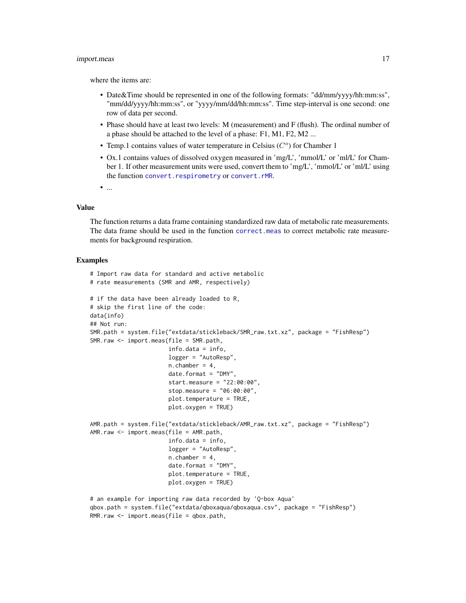#### <span id="page-16-0"></span>import.meas and the state of the state of the state of the state of the state of the state of the state of the state of the state of the state of the state of the state of the state of the state of the state of the state o

where the items are:

- Date&Time should be represented in one of the following formats: "dd/mm/yyyy/hh:mm:ss", "mm/dd/yyyy/hh:mm:ss", or "yyyy/mm/dd/hh:mm:ss". Time step-interval is one second: one row of data per second.
- Phase should have at least two levels: M (measurement) and F (flush). The ordinal number of a phase should be attached to the level of a phase: F1, M1, F2, M2 ...
- Temp.1 contains values of water temperature in Celsius  $(C<sup>o</sup>)$  for Chamber 1
- Ox.1 contains values of dissolved oxygen measured in 'mg/L', 'mmol/L' or 'ml/L' for Chamber 1. If other measurement units were used, convert them to 'mg/L', 'mmol/L' or 'ml/L' using the function [convert.respirometry](#page-6-1) or [convert.rMR](#page-7-1).

• ...

#### Value

The function returns a data frame containing standardized raw data of metabolic rate measurements. The data frame should be used in the function [correct.meas](#page-9-1) to correct metabolic rate measurements for background respiration.

```
# Import raw data for standard and active metabolic
# rate measurements (SMR and AMR, respectively)
# if the data have been already loaded to R,
# skip the first line of the code:
data(info)
## Not run:
SMR.path = system.file("extdata/stickleback/SMR_raw.txt.xz", package = "FishResp")
SMR.raw <- import.meas(file = SMR.path,
                       info.data = info,
                       logger = "AutoResp",
                       n.chamber = 4,
                       date.format = "DMY",
                       start.measure = "22:00:00",
                       stop.measure = "06:00:00",
                       plot.temperature = TRUE,
                       plot.oxygen = TRUE)
AMR.path = system.file("extdata/stickleback/AMR_raw.txt.xz", package = "FishResp")
AMR.raw <- import.meas(file = AMR.path,
                       info.data = info,
                       logger = "AutoResp",
                       n.chamber = 4,
                       date.format = "DMY",
                       plot.temperature = TRUE,
                       plot.oxygen = TRUE)
# an example for importing raw data recorded by 'Q-box Aqua'
qbox.path = system.file("extdata/qboxaqua/qboxaqua.csv", package = "FishResp")
RMR.raw <- import.meas(file = qbox.path,
```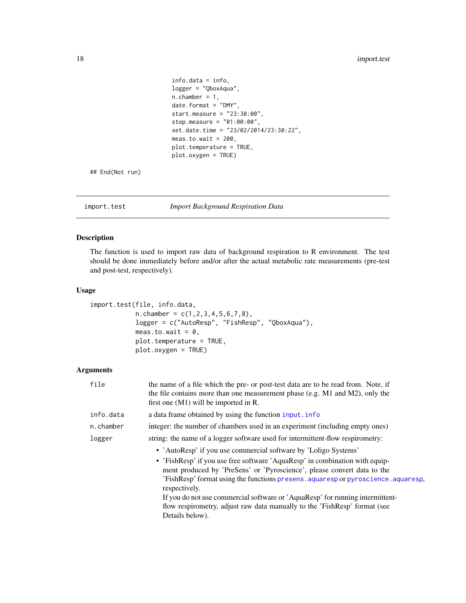```
info.data = info,
logger = "QboxAqua",
n.chamber = 1,
date.format = "DMY",start.measure = "23:30:00",
stop.measure = "01:00:00",
set.date.time = "23/02/2014/23:30:22",
meas.to.wait = 200,
plot.temperature = TRUE,
plot.oxygen = TRUE)
```
## End(Not run)

<span id="page-17-1"></span>import.test *Import Background Respiration Data*

# Description

The function is used to import raw data of background respiration to R environment. The test should be done immediately before and/or after the actual metabolic rate measurements (pre-test and post-test, respectively).

# Usage

```
import.test(file, info.data,
            n.chamber = c(1,2,3,4,5,6,7,8),
            logger = c("AutoResp", "FishResp", "QboxAqua"),
            meas.to.wait = 0,
            plot.temperature = TRUE,
            plot.oxygen = TRUE)
```
# Arguments

| file      | the name of a file which the pre- or post-test data are to be read from. Note, if<br>the file contains more than one measurement phase (e.g. M1 and M2), only the<br>first one $(M1)$ will be imported in R.                                                                                                                                                                                                                                                                                                                                                                                       |
|-----------|----------------------------------------------------------------------------------------------------------------------------------------------------------------------------------------------------------------------------------------------------------------------------------------------------------------------------------------------------------------------------------------------------------------------------------------------------------------------------------------------------------------------------------------------------------------------------------------------------|
| info.data | a data frame obtained by using the function input. info                                                                                                                                                                                                                                                                                                                                                                                                                                                                                                                                            |
| n.chamber | integer: the number of chambers used in an experiment (including empty ones)                                                                                                                                                                                                                                                                                                                                                                                                                                                                                                                       |
| logger    | string: the name of a logger software used for intermittent-flow respirometry:<br>• 'AutoResp' if you use commercial software by 'Loligo Systems'<br>• 'FishResp' if you use free software 'AquaResp' in combination with equip-<br>ment produced by 'PreSens' or 'Pyroscience', please convert data to the<br>'FishResp' format using the functions presens. aquaresp or pyroscience. aquaresp,<br>respectively.<br>If you do not use commercial software or 'AquaResp' for running intermittent-<br>flow respirometry, adjust raw data manually to the 'FishResp' format (see<br>Details below). |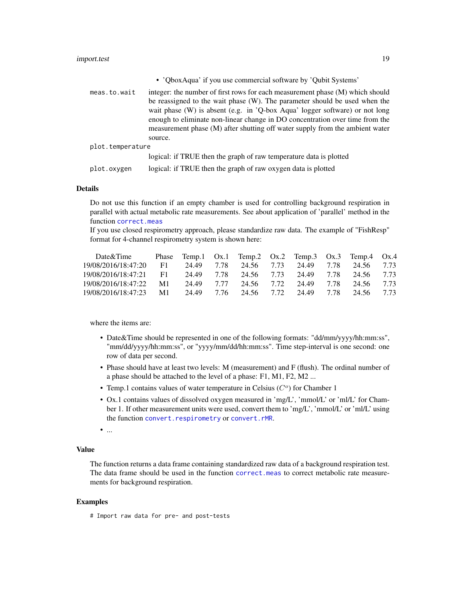• 'QboxAqua' if you use commercial software by 'Qubit Systems'

<span id="page-18-0"></span>meas.to.wait integer: the number of first rows for each measurement phase (M) which should be reassigned to the wait phase (W). The parameter should be used when the wait phase (W) is absent (e.g. in 'Q-box Aqua' logger software) or not long enough to eliminate non-linear change in DO concentration over time from the measurement phase (M) after shutting off water supply from the ambient water source.

| plot.temperature |                                                                    |
|------------------|--------------------------------------------------------------------|
|                  | logical: if TRUE then the graph of raw temperature data is plotted |
| plot.oxygen      | logical: if TRUE then the graph of raw oxygen data is plotted      |

#### Details

Do not use this function if an empty chamber is used for controlling background respiration in parallel with actual metabolic rate measurements. See about application of 'parallel' method in the function [correct.meas](#page-9-1)

If you use closed respirometry approach, please standardize raw data. The example of "FishResp" format for 4-channel respirometry system is shown here:

| Date&Time              |      |            |      | Phase Temp.1 $Ox.1$ Temp.2 $Ox.2$ Temp.3 $Ox.3$ Temp.4 $Ox.4$ |                                  |      |                       |      |
|------------------------|------|------------|------|---------------------------------------------------------------|----------------------------------|------|-----------------------|------|
| 19/08/2016/18:47:20    | - F1 | 24.49 7.78 |      | 24.56 7.73                                                    |                                  |      | 24.49 7.78 24.56 7.73 |      |
| 19/08/2016/18:47:21 F1 |      | 24.49 7.78 |      |                                                               | 24.56 7.73 24.49 7.78 24.56 7.73 |      |                       |      |
| 19/08/2016/18:47:22    | M1   | 24.49 7.77 |      | 24.56 7.72                                                    | 24.49 7.78                       |      | 24.56 7.73            |      |
| 19/08/2016/18:47:23    | M1   | 24.49      | 7.76 | 24.56 7.72                                                    | 24.49                            | 7.78 | 24.56                 | 7.73 |

where the items are:

- Date&Time should be represented in one of the following formats: "dd/mm/yyyy/hh:mm:ss", "mm/dd/yyyy/hh:mm:ss", or "yyyy/mm/dd/hh:mm:ss". Time step-interval is one second: one row of data per second.
- Phase should have at least two levels: M (measurement) and F (flush). The ordinal number of a phase should be attached to the level of a phase: F1, M1, F2, M2 ...
- Temp.1 contains values of water temperature in Celsius  $(C<sup>o</sup>)$  for Chamber 1
- Ox.1 contains values of dissolved oxygen measured in 'mg/L', 'mmol/L' or 'ml/L' for Chamber 1. If other measurement units were used, convert them to 'mg/L', 'mmol/L' or 'ml/L' using the function [convert.respirometry](#page-6-1) or [convert.rMR](#page-7-1).

• ...

#### Value

The function returns a data frame containing standardized raw data of a background respiration test. The data frame should be used in the function [correct.meas](#page-9-1) to correct metabolic rate measurements for background respiration.

# Examples

# Import raw data for pre- and post-tests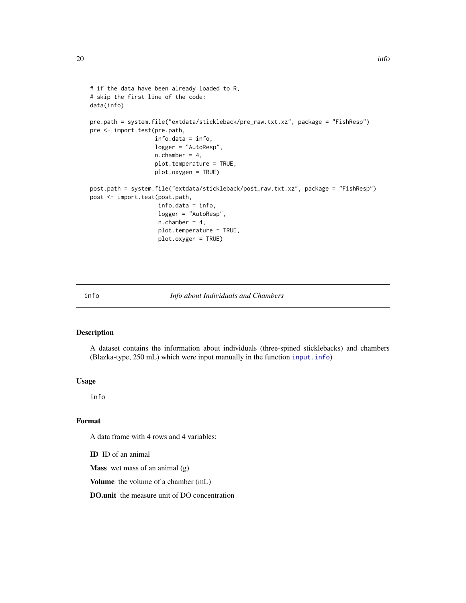```
# if the data have been already loaded to R,
# skip the first line of the code:
data(info)
pre.path = system.file("extdata/stickleback/pre_raw.txt.xz", package = "FishResp")
pre <- import.test(pre.path,
                   info.data = info,
                   logger = "AutoResp",
                   n.chamber = 4,
                   plot.temperature = TRUE,
                   plot.oxygen = TRUE)
post.path = system.file("extdata/stickleback/post_raw.txt.xz", package = "FishResp")
post <- import.test(post.path,
                    info.data = info,
                    logger = "AutoResp",
                    n.chamber = 4,
                    plot.temperature = TRUE,
                    plot.oxygen = TRUE)
```
info *Info about Individuals and Chambers*

# Description

A dataset contains the information about individuals (three-spined sticklebacks) and chambers (Blazka-type, 250 mL) which were input manually in the function [input.info](#page-20-1))

#### Usage

info

# Format

A data frame with 4 rows and 4 variables:

ID ID of an animal

**Mass** wet mass of an animal  $(g)$ 

Volume the volume of a chamber (mL)

DO.unit the measure unit of DO concentration

<span id="page-19-0"></span>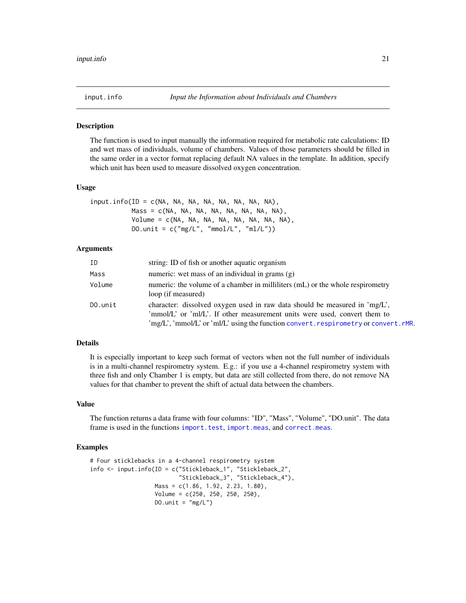<span id="page-20-1"></span><span id="page-20-0"></span>

The function is used to input manually the information required for metabolic rate calculations: ID and wet mass of individuals, volume of chambers. Values of those parameters should be filled in the same order in a vector format replacing default NA values in the template. In addition, specify which unit has been used to measure dissolved oxygen concentration.

#### Usage

 $input.info(ID = c(NA, NA, NA, NA, NA, NA, NA, NA)$ ,  $Mass = c(NA, NA, NA, NA, NA, NA, NA, NA)$ , Volume = c(NA, NA, NA, NA, NA, NA, NA, NA), DO.unit =  $c("mg/L", "mmol/L", "ml/L"))$ 

# Arguments

| ID      | string: ID of fish or another aquatic organism                                                                                                                                                                                                |
|---------|-----------------------------------------------------------------------------------------------------------------------------------------------------------------------------------------------------------------------------------------------|
| Mass    | numeric: wet mass of an individual in grams $(g)$                                                                                                                                                                                             |
| Volume  | numeric: the volume of a chamber in milliliters (mL) or the whole respirometry<br>loop (if measured)                                                                                                                                          |
| DO.unit | character: dissolved oxygen used in raw data should be measured in 'mg/L',<br>'mmol/L' or 'ml/L'. If other measurement units were used, convert them to<br>'mg/L', 'mmol/L' or 'ml/L' using the function convert.respirometry or convert.rMR. |

# Details

It is especially important to keep such format of vectors when not the full number of individuals is in a multi-channel respirometry system. E.g.: if you use a 4-channel respirometry system with three fish and only Chamber 1 is empty, but data are still collected from there, do not remove NA values for that chamber to prevent the shift of actual data between the chambers.

#### Value

The function returns a data frame with four columns: "ID", "Mass", "Volume", "DO.unit". The data frame is used in the functions [import.test](#page-17-1), [import.meas](#page-14-1), and [correct.meas](#page-9-1).

```
# Four sticklebacks in a 4-channel respirometry system
info <- input.info(ID = c("Stickleback_1", "Stickleback_2",
                          "Stickleback_3", "Stickleback_4"),
                   Mass = c(1.86, 1.92, 2.23, 1.80),
                   Volume = c(250, 250, 250, 250),
                   DO.unit = mg/L")
```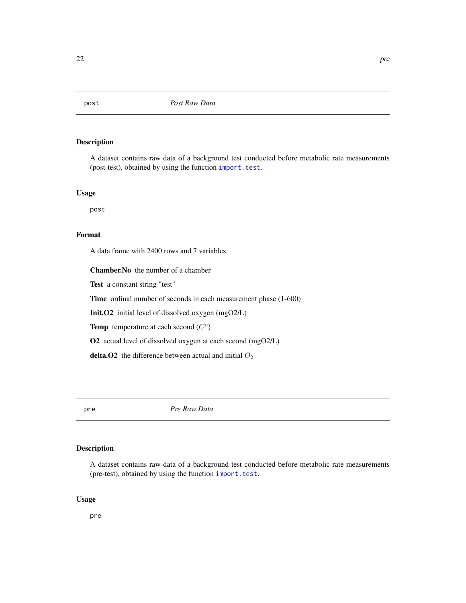<span id="page-21-0"></span>

A dataset contains raw data of a background test conducted before metabolic rate measurements (post-test), obtained by using the function [import.test](#page-17-1).

# Usage

post

# Format

A data frame with 2400 rows and 7 variables:

Chamber.No the number of a chamber

Test a constant string "test"

Time ordinal number of seconds in each measurement phase (1-600)

Init.O2 initial level of dissolved oxygen (mgO2/L)

Temp temperature at each second  $(C<sup>o</sup>)$ 

O2 actual level of dissolved oxygen at each second (mgO2/L)

delta. $O2$  the difference between actual and initial  $O<sub>2</sub>$ 

pre *Pre Raw Data*

# Description

A dataset contains raw data of a background test conducted before metabolic rate measurements (pre-test), obtained by using the function [import.test](#page-17-1).

#### Usage

pre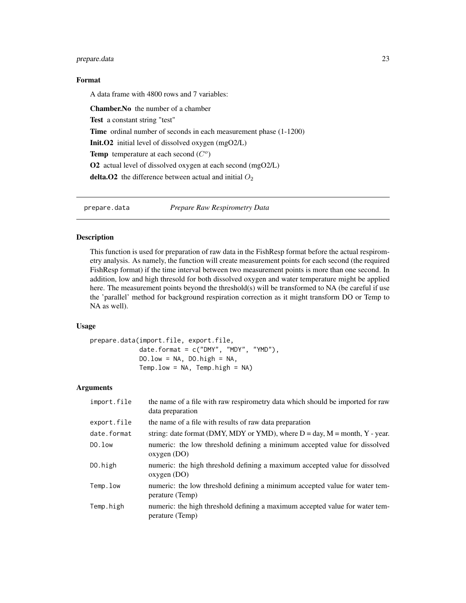# <span id="page-22-0"></span>prepare.data 23

# Format

A data frame with 4800 rows and 7 variables:

Chamber.No the number of a chamber Test a constant string "test" Time ordinal number of seconds in each measurement phase  $(1-1200)$ Init.O2 initial level of dissolved oxygen (mgO2/L) Temp temperature at each second  $(C<sup>o</sup>)$ O2 actual level of dissolved oxygen at each second (mgO2/L) delta. O2 the difference between actual and initial  $O_2$ 

prepare.data *Prepare Raw Respirometry Data*

# **Description**

This function is used for preparation of raw data in the FishResp format before the actual respirometry analysis. As namely, the function will create measurement points for each second (the required FishResp format) if the time interval between two measurement points is more than one second. In addition, low and high thresold for both dissolved oxygen and water temperature might be applied here. The measurement points beyond the threshold(s) will be transformed to NA (be careful if use the 'parallel' method for background respiration correction as it might transform DO or Temp to NA as well).

# Usage

```
prepare.data(import.file, export.file,
             date.format = c("DMY", "MDY", "YMD"),
             DO.low = NA, DO.high = NA,Temp.low = NA, Temp.high = NA)
```
# Arguments

| import.file | the name of a file with raw respirometry data which should be imported for raw<br>data preparation |
|-------------|----------------------------------------------------------------------------------------------------|
| export.file | the name of a file with results of raw data preparation                                            |
| date.format | string: date format (DMY, MDY or YMD), where $D = day$ , $M =$ month, $Y - year$ .                 |
| DO. low     | numeric: the low threshold defining a minimum accepted value for dissolved<br>oxygen(DO)           |
| DO.high     | numeric: the high threshold defining a maximum accepted value for dissolved<br>oxygen (DO)         |
| Temp.low    | numeric: the low threshold defining a minimum accepted value for water tem-<br>perature (Temp)     |
| Temp.high   | numeric: the high threshold defining a maximum accepted value for water tem-<br>perature (Temp)    |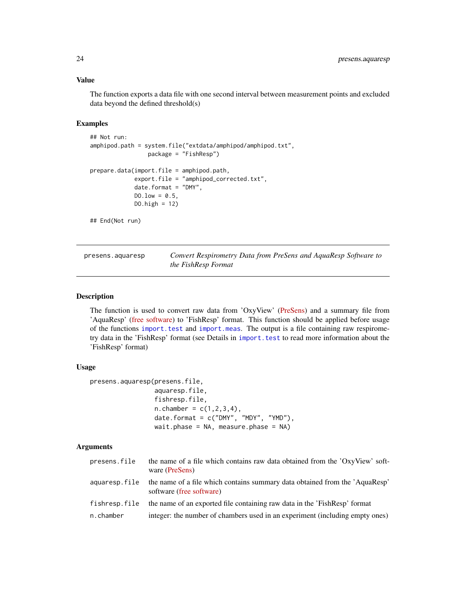### <span id="page-23-0"></span>Value

The function exports a data file with one second interval between measurement points and excluded data beyond the defined threshold(s)

# Examples

```
## Not run:
amphipod.path = system.file("extdata/amphipod/amphipod.txt",
                 package = "FishResp")
prepare.data(import.file = amphipod.path,
             export.file = "amphipod_corrected.txt",
             date.format = "DMY",
             DO.low = 0.5,
             DO.high = 12)
## End(Not run)
```
<span id="page-23-1"></span>

| presens.aquaresp | Convert Respirometry Data from PreSens and AquaResp Software to |
|------------------|-----------------------------------------------------------------|
|                  | the FishResp Format                                             |

# Description

The function is used to convert raw data from 'OxyView' [\(PreSens\)](https://www.presens.de) and a summary file from 'AquaResp' [\(free software\)](https://www.aquaresp.com) to 'FishResp' format. This function should be applied before usage of the functions [import.test](#page-17-1) and [import.meas](#page-14-1). The output is a file containing raw respirometry data in the 'FishResp' format (see Details in [import.test](#page-17-1) to read more information about the 'FishResp' format)

# Usage

```
presens.aquaresp(presens.file,
                 aquaresp.file,
                 fishresp.file,
                 n.chamber = c(1, 2, 3, 4),
                 date.format = c("DMY", "MDY", "YMD"),
                 wait.phase = NA, measure.phase = NA)
```
#### Arguments

| presens.file  | the name of a file which contains raw data obtained from the 'OxyView' soft-<br>ware (PreSens)          |
|---------------|---------------------------------------------------------------------------------------------------------|
| aquaresp.file | the name of a file which contains summary data obtained from the 'AquaResp'<br>software (free software) |
| fishresp.file | the name of an exported file containing raw data in the 'FishResp' format                               |
| n.chamber     | integer: the number of chambers used in an experiment (including empty ones)                            |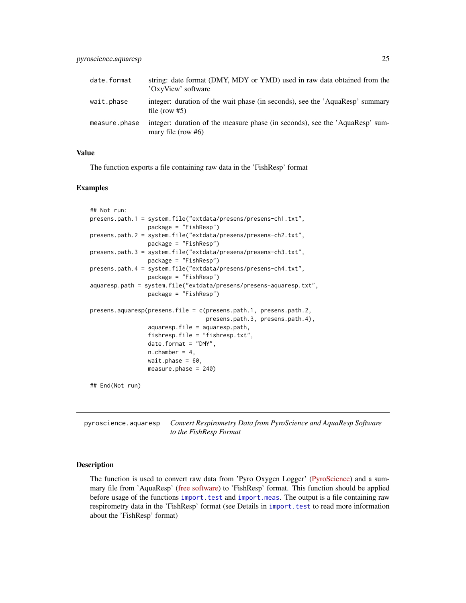<span id="page-24-0"></span>

| date.format   | string: date format (DMY, MDY or YMD) used in raw data obtained from the<br>'OxyView' software        |
|---------------|-------------------------------------------------------------------------------------------------------|
| wait.phase    | integer: duration of the wait phase (in seconds), see the 'AquaResp' summary<br>file (row $#5$ )      |
| measure.phase | integer: duration of the measure phase (in seconds), see the 'AquaResp' sum-<br>mary file (row $#6$ ) |

#### Value

The function exports a file containing raw data in the 'FishResp' format

#### Examples

```
## Not run:
presens.path.1 = system.file("extdata/presens/presens-ch1.txt",
                 package = "FishResp")
presens.path.2 = system.file("extdata/presens/presens-ch2.txt",
                 package = "FishResp")
presens.path.3 = system.file("extdata/presens/presens-ch3.txt",
                 package = "FishResp")
presens.path.4 = system.file("extdata/presens/presens-ch4.txt",
                 package = "FishResp")
aquaresp.path = system.file("extdata/presens/presens-aquaresp.txt",
                 package = "FishResp")
presens.aquaresp(presens.file = c(presens.path.1, presens.path.2,
                                 presens.path.3, presens.path.4),
                 aquaresp.file = aquaresp.path,
                 fishresp.file = "fishresp.txt",
                 date.format = "DMY",
                 n.chamber = 4,
                 wait.phase = 60,
                 measure.phase = 240)
## End(Not run)
```
<span id="page-24-1"></span>pyroscience.aquaresp *Convert Respirometry Data from PyroScience and AquaResp Software to the FishResp Format*

# **Description**

The function is used to convert raw data from 'Pyro Oxygen Logger' [\(PyroScience\)](https://www.pyroscience.com/) and a summary file from 'AquaResp' [\(free software\)](https://www.aquaresp.com) to 'FishResp' format. This function should be applied before usage of the functions [import.test](#page-17-1) and [import.meas](#page-14-1). The output is a file containing raw respirometry data in the 'FishResp' format (see Details in [import.test](#page-17-1) to read more information about the 'FishResp' format)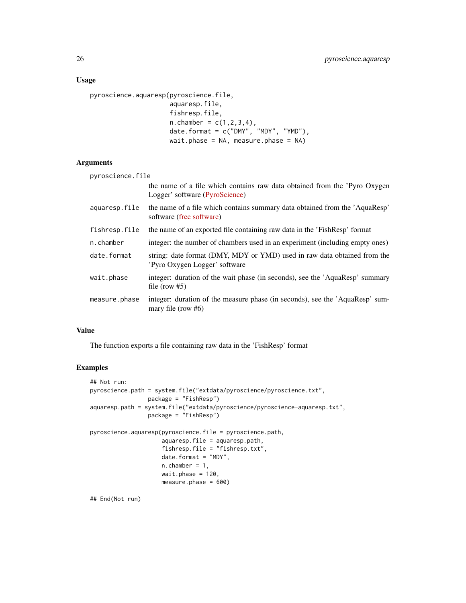# Usage

```
pyroscience.aquaresp(pyroscience.file,
                     aquaresp.file,
                     fishresp.file,
                     n.chamber = c(1, 2, 3, 4),
                     date.format = c("DMY", "MDY", "YMD"),
                     wait.phase = NA, measure.phase = NA)
```
# Arguments

| pyroscience.file |                                                                                                             |
|------------------|-------------------------------------------------------------------------------------------------------------|
|                  | the name of a file which contains raw data obtained from the 'Pyro Oxygen<br>Logger' software (PyroScience) |
| aquaresp.file    | the name of a file which contains summary data obtained from the 'AquaResp'<br>software (free software)     |
| fishresp.file    | the name of an exported file containing raw data in the 'FishResp' format                                   |
| n.chamber        | integer: the number of chambers used in an experiment (including empty ones)                                |
| date.format      | string: date format (DMY, MDY or YMD) used in raw data obtained from the<br>'Pyro Oxygen Logger' software   |
| wait.phase       | integer: duration of the wait phase (in seconds), see the 'AquaResp' summary<br>file (row $#5$ )            |
| measure.phase    | integer: duration of the measure phase (in seconds), see the 'AquaResp' sum-<br>mary file (row $#6$ )       |

# Value

The function exports a file containing raw data in the 'FishResp' format

### Examples

```
## Not run:
pyroscience.path = system.file("extdata/pyroscience/pyroscience.txt",
                package = "FishResp")
aquaresp.path = system.file("extdata/pyroscience/pyroscience-aquaresp.txt",
                 package = "FishResp")
pyroscience.aquaresp(pyroscience.file = pyroscience.path,
                     aquaresp.file = aquaresp.path,
                     fishresp.file = "fishresp.txt",
                     date.format = "MDY",
                     n.chamber = 1,
                     wait.phase = 120,
                     measure.phase = 600)
```
## End(Not run)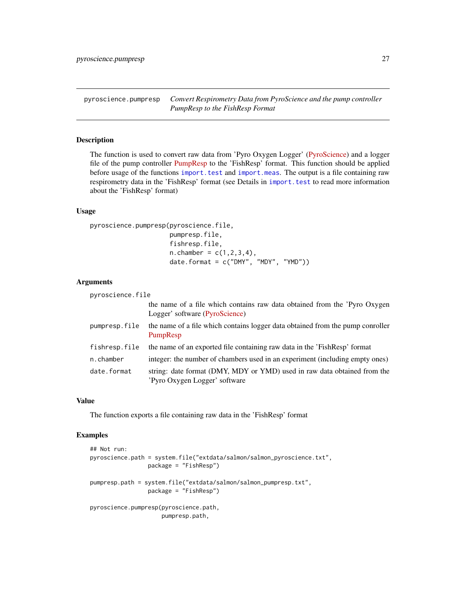<span id="page-26-0"></span>pyroscience.pumpresp *Convert Respirometry Data from PyroScience and the pump controller PumpResp to the FishResp Format*

#### Description

The function is used to convert raw data from 'Pyro Oxygen Logger' [\(PyroScience\)](https://www.pyroscience.com/) and a logger file of the pump controller [PumpResp](https://fishresp.org/pumpresp/) to the 'FishResp' format. This function should be applied before usage of the functions [import.test](#page-17-1) and [import.meas](#page-14-1). The output is a file containing raw respirometry data in the 'FishResp' format (see Details in [import.test](#page-17-1) to read more information about the 'FishResp' format)

#### Usage

```
pyroscience.pumpresp(pyroscience.file,
                      pumpresp.file,
                      fishresp.file,
                      n.chamber = c(1, 2, 3, 4),
                      date.format = c("DMY", "MDY", "YMD"))
```
#### Arguments

pyroscience.file

|               | the name of a file which contains raw data obtained from the 'Pyro Oxygen<br>Logger' software (PyroScience) |
|---------------|-------------------------------------------------------------------------------------------------------------|
| pumpresp.file | the name of a file which contains logger data obtained from the pump conroller<br>PumpResp                  |
| fishresp.file | the name of an exported file containing raw data in the 'FishResp' format                                   |
| n.chamber     | integer: the number of chambers used in an experiment (including empty ones)                                |
| date.format   | string: date format (DMY, MDY or YMD) used in raw data obtained from the<br>'Pyro Oxygen Logger' software   |

#### Value

The function exports a file containing raw data in the 'FishResp' format

```
## Not run:
pyroscience.path = system.file("extdata/salmon/salmon_pyroscience.txt",
                 package = "FishResp")
pumpresp.path = system.file("extdata/salmon/salmon_pumpresp.txt",
                 package = "FishResp")
pyroscience.pumpresp(pyroscience.path,
                     pumpresp.path,
```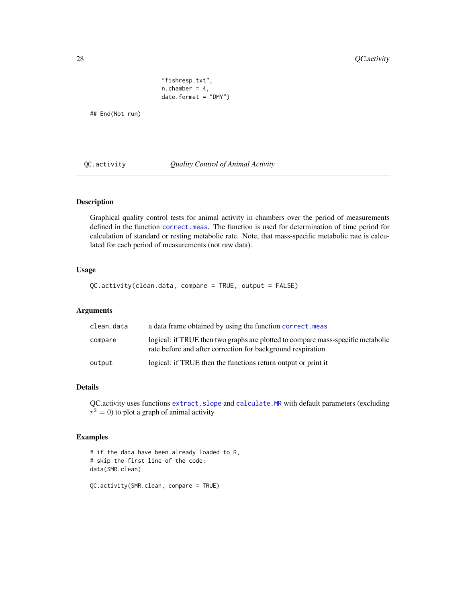"fishresp.txt",  $n.$ chamber = 4, date.format = "DMY")

<span id="page-27-0"></span>## End(Not run)

<span id="page-27-1"></span>QC.activity *Quality Control of Animal Activity*

# Description

Graphical quality control tests for animal activity in chambers over the period of measurements defined in the function [correct.meas](#page-9-1). The function is used for determination of time period for calculation of standard or resting metabolic rate. Note, that mass-specific metabolic rate is calculated for each period of measurements (not raw data).

#### Usage

QC.activity(clean.data, compare = TRUE, output = FALSE)

# Arguments

| clean.data | a data frame obtained by using the function correct.meas                                                                                       |
|------------|------------------------------------------------------------------------------------------------------------------------------------------------|
| compare    | logical: if TRUE then two graphs are plotted to compare mass-specific metabolic<br>rate before and after correction for background respiration |
| output     | logical: if TRUE then the functions return output or print it                                                                                  |

#### Details

QC.activity uses functions [extract.slope](#page-12-1) and [calculate.MR](#page-5-1) with default parameters (excluding  $r^2 = 0$ ) to plot a graph of animal activity

```
# if the data have been already loaded to R,
# skip the first line of the code:
data(SMR.clean)
QC.activity(SMR.clean, compare = TRUE)
```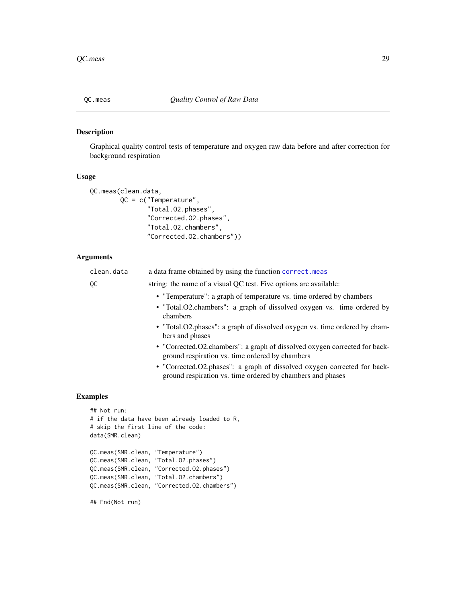<span id="page-28-1"></span><span id="page-28-0"></span>

Graphical quality control tests of temperature and oxygen raw data before and after correction for background respiration

#### Usage

```
QC.meas(clean.data,
        QC = c("Temperature",
               "Total.O2.phases",
               "Corrected.O2.phases",
               "Total.O2.chambers",
               "Corrected.O2.chambers"))
```
## Arguments

| clean.data | a data frame obtained by using the function correct.meas                                      |
|------------|-----------------------------------------------------------------------------------------------|
| OC.        | string: the name of a visual QC test. Five options are available:                             |
|            | • "Temperature": a graph of temperature vs. time ordered by chambers                          |
|            | • "Total.O2.chambers": a graph of dissolved oxygen vs. time ordered by<br>chambers            |
|            | • "Total.O2.phases": a graph of dissolved oxygen vs. time ordered by cham-<br>bers and phases |
|            | • "Corrected.O2.chambers": a graph of dissolved oxygen corrected for back-                    |

- ground respiration vs. time ordered by chambers • "Corrected.O2.phases": a graph of dissolved oxygen corrected for back-
- ground respiration vs. time ordered by chambers and phases

```
## Not run:
# if the data have been already loaded to R,
# skip the first line of the code:
data(SMR.clean)
QC.meas(SMR.clean, "Temperature")
QC.meas(SMR.clean, "Total.O2.phases")
QC.meas(SMR.clean, "Corrected.O2.phases")
QC.meas(SMR.clean, "Total.O2.chambers")
QC.meas(SMR.clean, "Corrected.O2.chambers")
```

```
## End(Not run)
```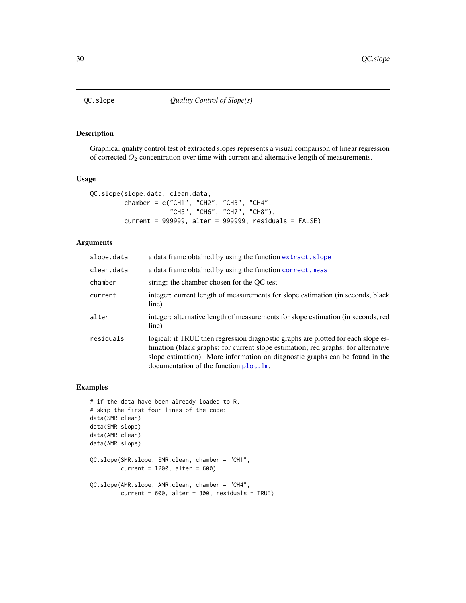<span id="page-29-1"></span><span id="page-29-0"></span>

Graphical quality control test of extracted slopes represents a visual comparison of linear regression of corrected  $O_2$  concentration over time with current and alternative length of measurements.

### Usage

```
QC.slope(slope.data, clean.data,
         chamber = c("CH1", "CH2", "CH3", "CH4",
                     "CH5", "CH6", "CH7", "CH8"),
         current = 999999, alter = 999999, residuals = FALSE)
```
# Arguments

| slope.data | a data frame obtained by using the function extract. slope                                                                                                                                                                                                                                        |
|------------|---------------------------------------------------------------------------------------------------------------------------------------------------------------------------------------------------------------------------------------------------------------------------------------------------|
| clean.data | a data frame obtained by using the function correct.meas                                                                                                                                                                                                                                          |
| chamber    | string: the chamber chosen for the QC test                                                                                                                                                                                                                                                        |
| current    | integer: current length of measurements for slope estimation (in seconds, black<br>line)                                                                                                                                                                                                          |
| alter      | integer: alternative length of measurements for slope estimation (in seconds, red<br>line)                                                                                                                                                                                                        |
| residuals  | logical: if TRUE then regression diagnostic graphs are plotted for each slope es-<br>timation (black graphs: for current slope estimation; red graphs: for alternative<br>slope estimation). More information on diagnostic graphs can be found in the<br>documentation of the function plot. lm. |

```
# if the data have been already loaded to R,
# skip the first four lines of the code:
data(SMR.clean)
data(SMR.slope)
data(AMR.clean)
data(AMR.slope)
QC.slope(SMR.slope, SMR.clean, chamber = "CH1",
         current = 1200, alter = 600)
QC.slope(AMR.slope, AMR.clean, chamber = "CH4",
         current = 600, alter = 300, residuals = TRUE)
```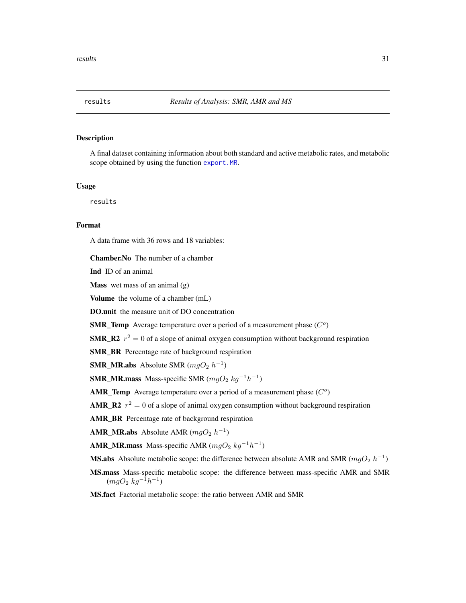<span id="page-30-0"></span>

A final dataset containing information about both standard and active metabolic rates, and metabolic scope obtained by using the function [export.MR](#page-10-1).

#### Usage

results

# Format

A data frame with 36 rows and 18 variables:

Chamber.No The number of a chamber

Ind ID of an animal

**Mass** wet mass of an animal  $(g)$ 

Volume the volume of a chamber (mL)

DO.unit the measure unit of DO concentration

**SMR\_Temp** Average temperature over a period of a measurement phase  $(C<sup>o</sup>)$ 

**SMR\_R2**  $r^2 = 0$  of a slope of animal oxygen consumption without background respiration

SMR\_BR Percentage rate of background respiration

**SMR\_MR.abs** Absolute SMR  $(mgO_2 h^{-1})$ 

**SMR\_MR.mass** Mass-specific SMR ( $mgO<sub>2</sub> kg<sup>-1</sup>h<sup>-1</sup>$ )

AMR\_Temp Average temperature over a period of a measurement phase  $(C<sup>o</sup>)$ 

**AMR\_R2**  $r^2 = 0$  of a slope of animal oxygen consumption without background respiration

AMR\_BR Percentage rate of background respiration

**AMR\_MR.abs** Absolute AMR  $(mgO_2 h^{-1})$ 

**AMR\_MR.mass** Mass-specific AMR  $(mgO_2 kg^{-1}h^{-1})$ 

**MS.abs** Absolute metabolic scope: the difference between absolute AMR and SMR ( $mgO_2 h^{-1}$ )

MS.mass Mass-specific metabolic scope: the difference between mass-specific AMR and SMR  $(mgO_2\ kg^{-1}h^{-1})$ 

MS.fact Factorial metabolic scope: the ratio between AMR and SMR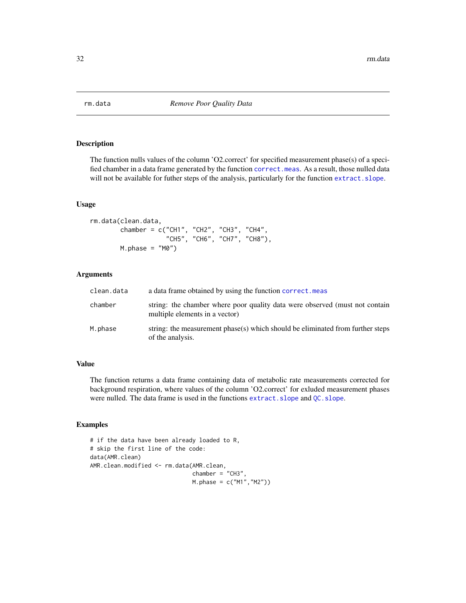<span id="page-31-0"></span>

The function nulls values of the column 'O2.correct' for specified measurement phase(s) of a specified chamber in a data frame generated by the function [correct.meas](#page-9-1). As a result, those nulled data will not be available for futher steps of the analysis, particularly for the function extract. slope.

#### Usage

```
rm.data(clean.data,
        chamber = c("CH1", "CH2", "CH3", "CH4",
                    "CH5", "CH6", "CH7", "CH8"),
        M.phase = "M0")
```
#### Arguments

| clean.data | a data frame obtained by using the function correct.meas                                                      |
|------------|---------------------------------------------------------------------------------------------------------------|
| chamber    | string: the chamber where poor quality data were observed (must not contain<br>multiple elements in a vector) |
| M.phase    | string: the measurement phase(s) which should be eliminated from further steps<br>of the analysis.            |

#### Value

The function returns a data frame containing data of metabolic rate measurements corrected for background respiration, where values of the column 'O2.correct' for exluded measurement phases were nulled. The data frame is used in the functions extract. slope and QC. slope.

```
# if the data have been already loaded to R,
# skip the first line of the code:
data(AMR.clean)
AMR.clean.modified <- rm.data(AMR.clean,
                              chamber = "CH3",M.phase = c("M1","M2"))
```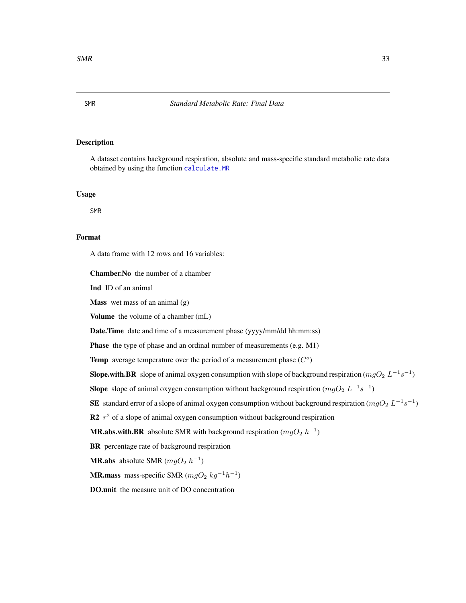A dataset contains background respiration, absolute and mass-specific standard metabolic rate data obtained by using the function [calculate.MR](#page-5-1)

#### Usage

SMR

# Format

A data frame with 12 rows and 16 variables:

Chamber.No the number of a chamber

Ind ID of an animal

**Mass** wet mass of an animal  $(g)$ 

Volume the volume of a chamber (mL)

Date.Time date and time of a measurement phase (yyyy/mm/dd hh:mm:ss)

Phase the type of phase and an ordinal number of measurements (e.g. M1)

Temp average temperature over the period of a measurement phase  $(C<sup>o</sup>)$ 

**Slope.with.BR** slope of animal oxygen consumption with slope of background respiration ( $mgO_2 L^{-1}s^{-1}$ )

**Slope** slope of animal oxygen consumption without background respiration  $(mgO_2 L^{-1}s^{-1})$ 

**SE** standard error of a slope of animal oxygen consumption without background respiration ( $mgO_2$   $L^{-1}s^{-1}$ )

R2  $r^2$  of a slope of animal oxygen consumption without background respiration

**MR.abs.with.BR** absolute SMR with background respiration  $(mgO_2 h^{-1})$ 

BR percentage rate of background respiration

**MR.abs** absolute SMR  $(mgO_2 h^{-1})$ 

**MR.mass** mass-specific SMR  $(mgO_2 kg^{-1}h^{-1})$ 

DO.unit the measure unit of DO concentration

<span id="page-32-0"></span>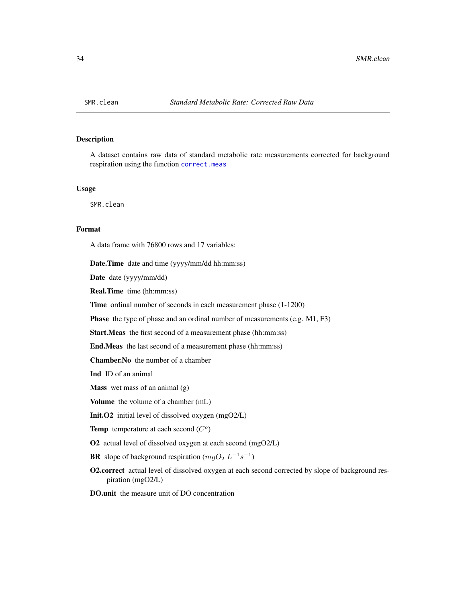<span id="page-33-0"></span>

A dataset contains raw data of standard metabolic rate measurements corrected for background respiration using the function [correct.meas](#page-9-1)

#### Usage

SMR.clean

#### Format

A data frame with 76800 rows and 17 variables:

Date.Time date and time (yyyy/mm/dd hh:mm:ss)

Date date (yyyy/mm/dd)

Real.Time time (hh:mm:ss)

Time ordinal number of seconds in each measurement phase (1-1200)

Phase the type of phase and an ordinal number of measurements (e.g. M1, F3)

Start.Meas the first second of a measurement phase (hh:mm:ss)

End.Meas the last second of a measurement phase (hh:mm:ss)

Chamber.No the number of a chamber

Ind ID of an animal

Mass wet mass of an animal (g)

Volume the volume of a chamber (mL)

Init.O2 initial level of dissolved oxygen (mgO2/L)

Temp temperature at each second  $(C<sup>o</sup>)$ 

O2 actual level of dissolved oxygen at each second (mgO2/L)

**BR** slope of background respiration  $(mgO_2 L^{-1} s^{-1})$ 

O2.correct actual level of dissolved oxygen at each second corrected by slope of background respiration (mgO2/L)

DO.unit the measure unit of DO concentration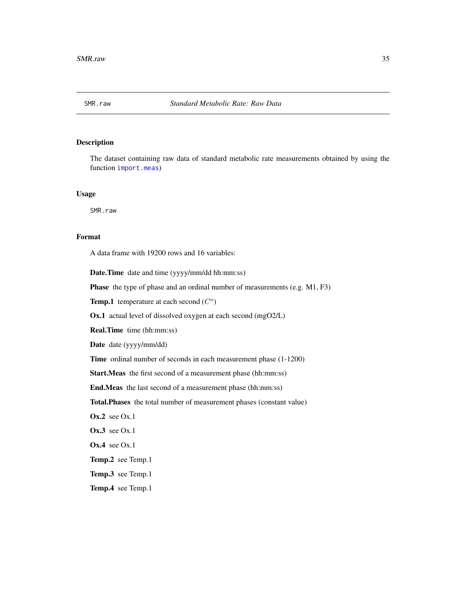<span id="page-34-0"></span>

The dataset containing raw data of standard metabolic rate measurements obtained by using the function [import.meas](#page-14-1))

#### Usage

SMR.raw

#### Format

A data frame with 19200 rows and 16 variables:

Date.Time date and time (yyyy/mm/dd hh:mm:ss)

Phase the type of phase and an ordinal number of measurements (e.g. M1, F3)

Temp.1 temperature at each second  $(C<sup>o</sup>)$ 

Ox.1 actual level of dissolved oxygen at each second (mgO2/L)

Real.Time time (hh:mm:ss)

Date date (yyyy/mm/dd)

Time ordinal number of seconds in each measurement phase (1-1200)

Start.Meas the first second of a measurement phase (hh:mm:ss)

End.Meas the last second of a measurement phase (hh:mm:ss)

Total.Phases the total number of measurement phases (constant value)

 $Ox.2$  see  $Ox.1$ 

Ox.3 see Ox.1

Ox.4 see Ox.1

Temp.2 see Temp.1

Temp.3 see Temp.1

Temp.4 see Temp.1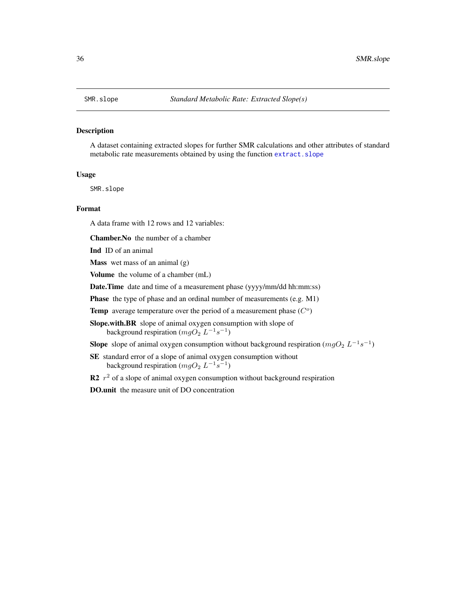<span id="page-35-0"></span>A dataset containing extracted slopes for further SMR calculations and other attributes of standard metabolic rate measurements obtained by using the function [extract.slope](#page-12-1)

#### Usage

SMR.slope

# Format

A data frame with 12 rows and 12 variables:

Chamber.No the number of a chamber

Ind ID of an animal

**Mass** wet mass of an animal  $(g)$ 

Volume the volume of a chamber (mL)

Date.Time date and time of a measurement phase (yyyy/mm/dd hh:mm:ss)

Phase the type of phase and an ordinal number of measurements (e.g. M1)

Temp average temperature over the period of a measurement phase  $(C<sup>o</sup>)$ 

Slope.with.BR slope of animal oxygen consumption with slope of background respiration  $(mgO_2 L^{-1}s^{-1})$ 

**Slope** slope of animal oxygen consumption without background respiration  $(mgO_2 L^{-1}s^{-1})$ 

SE standard error of a slope of animal oxygen consumption without background respiration ( $mgO_2 L^{-1}s^{-1}$ )

R2  $r^2$  of a slope of animal oxygen consumption without background respiration

DO.unit the measure unit of DO concentration